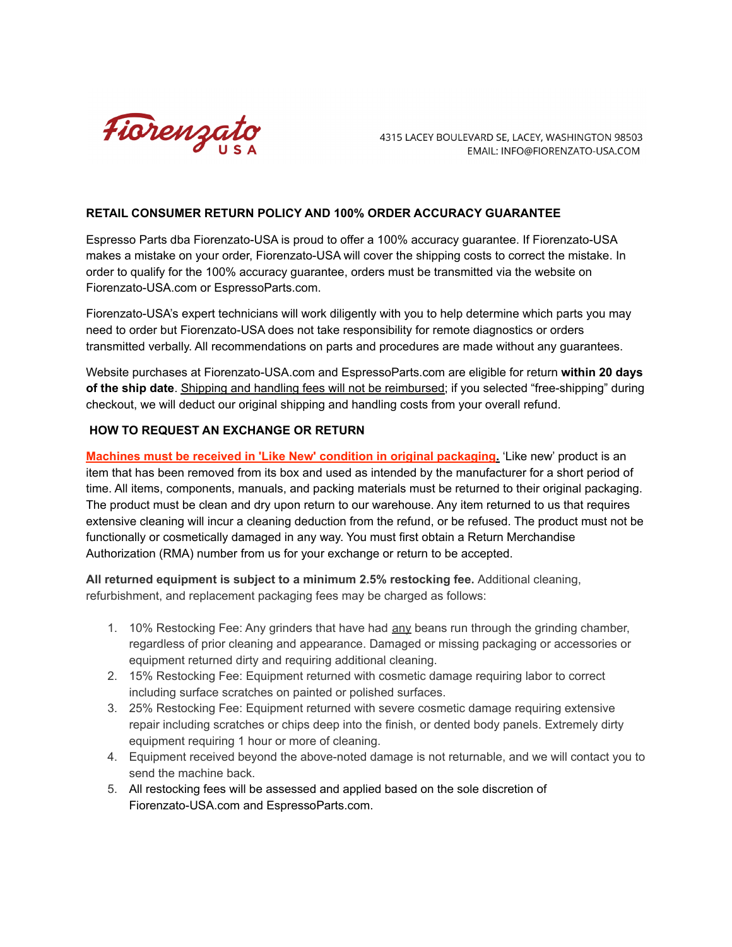

4315 LACEY BOULEVARD SE, LACEY, WASHINGTON 98503 EMAIL: INFO@FIORENZATO-USA.COM

## **RETAIL CONSUMER RETURN POLICY AND 100% ORDER ACCURACY GUARANTEE**

Espresso Parts dba Fiorenzato-USA is proud to offer a 100% accuracy guarantee. If Fiorenzato-USA makes a mistake on your order, Fiorenzato-USA will cover the shipping costs to correct the mistake. In order to qualify for the 100% accuracy guarantee, orders must be transmitted via the website on Fiorenzato-USA.com or EspressoParts.com.

Fiorenzato-USA's expert technicians will work diligently with you to help determine which parts you may need to order but Fiorenzato-USA does not take responsibility for remote diagnostics or orders transmitted verbally. All recommendations on parts and procedures are made without any guarantees.

Website purchases at Fiorenzato-USA.com and EspressoParts.com are eligible for return **within 20 days of the ship date**. Shipping and handling fees will not be reimbursed; if you selected "free-shipping" during checkout, we will deduct our original shipping and handling costs from your overall refund.

## **HOW TO REQUEST AN EXCHANGE OR RETURN**

**Machines must be received in 'Like New' condition in original packaging.** 'Like new' product is an item that has been removed from its box and used as intended by the manufacturer for a short period of time. All items, components, manuals, and packing materials must be returned to their original packaging. The product must be clean and dry upon return to our warehouse. Any item returned to us that requires extensive cleaning will incur a cleaning deduction from the refund, or be refused. The product must not be functionally or cosmetically damaged in any way. You must first obtain a Return Merchandise Authorization (RMA) number from us for your exchange or return to be accepted.

**All returned equipment is subject to a minimum 2.5% restocking fee.** Additional cleaning, refurbishment, and replacement packaging fees may be charged as follows:

- 1. 10% Restocking Fee: Any grinders that have had any beans run through the grinding chamber, regardless of prior cleaning and appearance. Damaged or missing packaging or accessories or equipment returned dirty and requiring additional cleaning.
- 2. 15% Restocking Fee: Equipment returned with cosmetic damage requiring labor to correct including surface scratches on painted or polished surfaces.
- 3. 25% Restocking Fee: Equipment returned with severe cosmetic damage requiring extensive repair including scratches or chips deep into the finish, or dented body panels. Extremely dirty equipment requiring 1 hour or more of cleaning.
- 4. Equipment received beyond the above-noted damage is not returnable, and we will contact you to send the machine back.
- 5. All restocking fees will be assessed and applied based on the sole discretion of Fiorenzato-USA.com and EspressoParts.com.